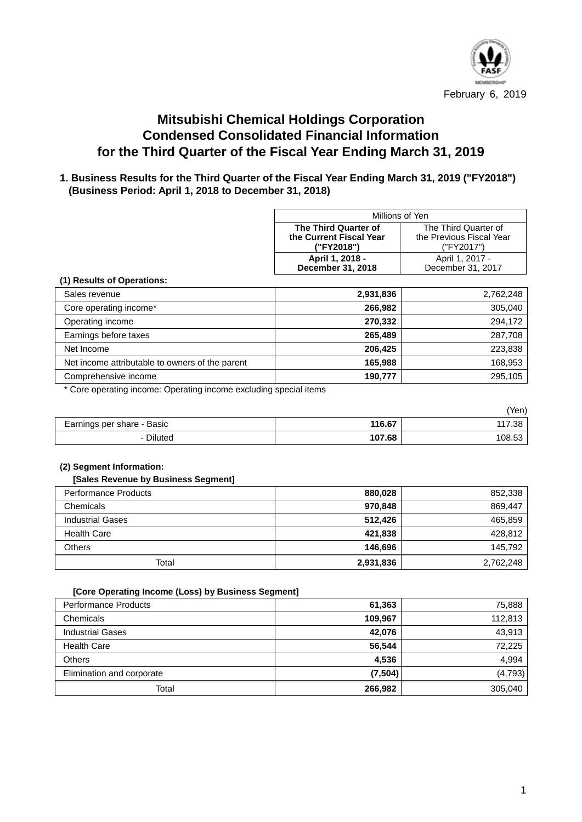

# **Mitsubishi Chemical Holdings Corporation Condensed Consolidated Financial Information for the Third Quarter of the Fiscal Year Ending March 31, 2019**

## **1. Business Results for the Third Quarter of the Fiscal Year Ending March 31, 2019 ("FY2018") (Business Period: April 1, 2018 to December 31, 2018)**

| Millions of Yen         |                          |  |  |
|-------------------------|--------------------------|--|--|
| The Third Quarter of    | The Third Quarter of     |  |  |
| the Current Fiscal Year | the Previous Fiscal Year |  |  |
| ("FY2018")              | ("FY2017")               |  |  |
| April 1, 2018 -         | April 1, 2017 -          |  |  |
| December 31, 2018       | December 31, 2017        |  |  |

#### **(1) Results of Operations:**

| Sales revenue                                   | 2,931,836 | 2,762,248 |
|-------------------------------------------------|-----------|-----------|
| Core operating income*                          | 266,982   | 305,040   |
| Operating income                                | 270,332   | 294,172   |
| Earnings before taxes                           | 265.489   | 287,708   |
| Net Income                                      | 206,425   | 223,838   |
| Net income attributable to owners of the parent | 165,988   | 168,953   |
| Comprehensive income                            | 190,777   | 295,105   |

\* Core operating income: Operating income excluding special items

|                            |        | (Yen)  |
|----------------------------|--------|--------|
| Earnings per share - Basic | 116.67 | 117.38 |
| - Diluted                  | 107.68 | 108.53 |

#### **(2) Segment Information:**

#### **[Sales Revenue by Business Segment]**

| Performance Products    | 880,028   | 852,338   |
|-------------------------|-----------|-----------|
| Chemicals               | 970,848   | 869,447   |
| <b>Industrial Gases</b> | 512.426   | 465,859   |
| <b>Health Care</b>      | 421,838   | 428,812   |
| <b>Others</b>           | 146,696   | 145,792   |
| Total                   | 2,931,836 | 2,762,248 |

#### **[Core Operating Income (Loss) by Business Segment]**

| <b>Performance Products</b> | 61,363   | 75,888   |
|-----------------------------|----------|----------|
| Chemicals                   | 109,967  | 112,813  |
| <b>Industrial Gases</b>     | 42,076   | 43,913   |
| <b>Health Care</b>          | 56,544   | 72,225   |
| <b>Others</b>               | 4,536    | 4,994    |
| Elimination and corporate   | (7, 504) | (4, 793) |
| Total                       | 266,982  | 305,040  |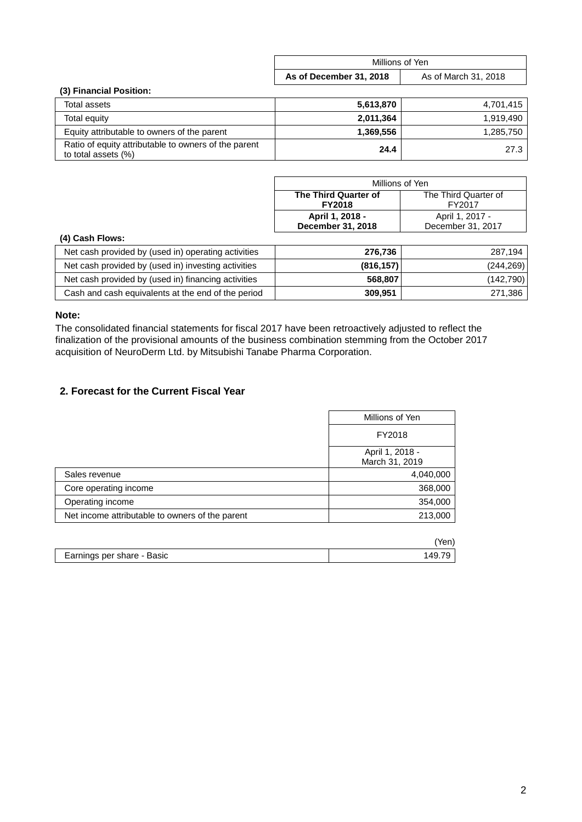| Millions of Yen         |                      |  |
|-------------------------|----------------------|--|
| As of December 31, 2018 | As of March 31, 2018 |  |

#### **(3) Financial Position:**

| Total assets                                                                | 5,613,870 | 4,701,415 |
|-----------------------------------------------------------------------------|-----------|-----------|
| Total equity                                                                | 2,011,364 | 1,919,490 |
| Equity attributable to owners of the parent                                 | 1.369.556 | 1,285,750 |
| Ratio of equity attributable to owners of the parent<br>to total assets (%) | 24.4      | 27.3      |

| Millions of Yen                              |                 |  |
|----------------------------------------------|-----------------|--|
| The Third Quarter of<br>The Third Quarter of |                 |  |
| FY2017<br><b>FY2018</b>                      |                 |  |
| April 1, 2018 -                              | April 1, 2017 - |  |
| December 31, 2018<br>December 31, 2017       |                 |  |

#### **(4) Cash Flows:**

| Net cash provided by (used in) operating activities | 276.736    | 287.194    |
|-----------------------------------------------------|------------|------------|
| Net cash provided by (used in) investing activities | (816, 157) | (244, 269) |
| Net cash provided by (used in) financing activities | 568,807    | (142, 790) |
| Cash and cash equivalents at the end of the period  | 309.951    | 271,386    |

## **Note:**

The consolidated financial statements for fiscal 2017 have been retroactively adjusted to reflect the finalization of the provisional amounts of the business combination stemming from the October 2017 acquisition of NeuroDerm Ltd. by Mitsubishi Tanabe Pharma Corporation.

## **2. Forecast for the Current Fiscal Year**

|                                                 | Millions of Yen                   |
|-------------------------------------------------|-----------------------------------|
|                                                 | FY2018                            |
|                                                 | April 1, 2018 -<br>March 31, 2019 |
| Sales revenue                                   | 4,040,000                         |
| Core operating income                           | 368,000                           |
| Operating income                                | 354,000                           |
| Net income attributable to owners of the parent | 213,000                           |

|                            | Yen) |
|----------------------------|------|
| Earnings per share - Basic |      |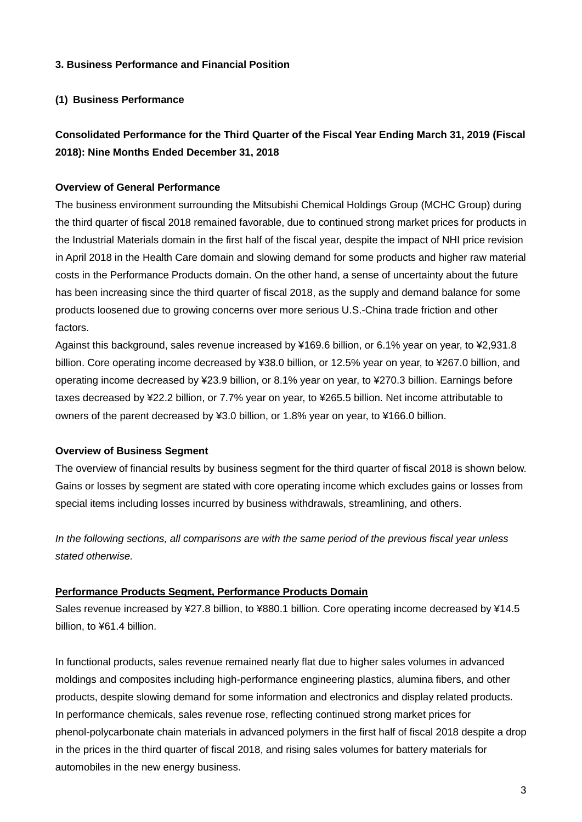## **3. Business Performance and Financial Position**

## **(1) Business Performance**

# **Consolidated Performance for the Third Quarter of the Fiscal Year Ending March 31, 2019 (Fiscal 2018): Nine Months Ended December 31, 2018**

## **Overview of General Performance**

The business environment surrounding the Mitsubishi Chemical Holdings Group (MCHC Group) during the third quarter of fiscal 2018 remained favorable, due to continued strong market prices for products in the Industrial Materials domain in the first half of the fiscal year, despite the impact of NHI price revision in April 2018 in the Health Care domain and slowing demand for some products and higher raw material costs in the Performance Products domain. On the other hand, a sense of uncertainty about the future has been increasing since the third quarter of fiscal 2018, as the supply and demand balance for some products loosened due to growing concerns over more serious U.S.-China trade friction and other factors.

Against this background, sales revenue increased by ¥169.6 billion, or 6.1% year on year, to ¥2,931.8 billion. Core operating income decreased by ¥38.0 billion, or 12.5% year on year, to ¥267.0 billion, and operating income decreased by ¥23.9 billion, or 8.1% year on year, to ¥270.3 billion. Earnings before taxes decreased by ¥22.2 billion, or 7.7% year on year, to ¥265.5 billion. Net income attributable to owners of the parent decreased by ¥3.0 billion, or 1.8% year on year, to ¥166.0 billion.

#### **Overview of Business Segment**

The overview of financial results by business segment for the third quarter of fiscal 2018 is shown below. Gains or losses by segment are stated with core operating income which excludes gains or losses from special items including losses incurred by business withdrawals, streamlining, and others.

*In the following sections, all comparisons are with the same period of the previous fiscal year unless stated otherwise.*

### **Performance Products Segment, Performance Products Domain**

Sales revenue increased by ¥27.8 billion, to ¥880.1 billion. Core operating income decreased by ¥14.5 billion, to ¥61.4 billion.

In functional products, sales revenue remained nearly flat due to higher sales volumes in advanced moldings and composites including high-performance engineering plastics, alumina fibers, and other products, despite slowing demand for some information and electronics and display related products. In performance chemicals, sales revenue rose, reflecting continued strong market prices for phenol-polycarbonate chain materials in advanced polymers in the first half of fiscal 2018 despite a drop in the prices in the third quarter of fiscal 2018, and rising sales volumes for battery materials for automobiles in the new energy business.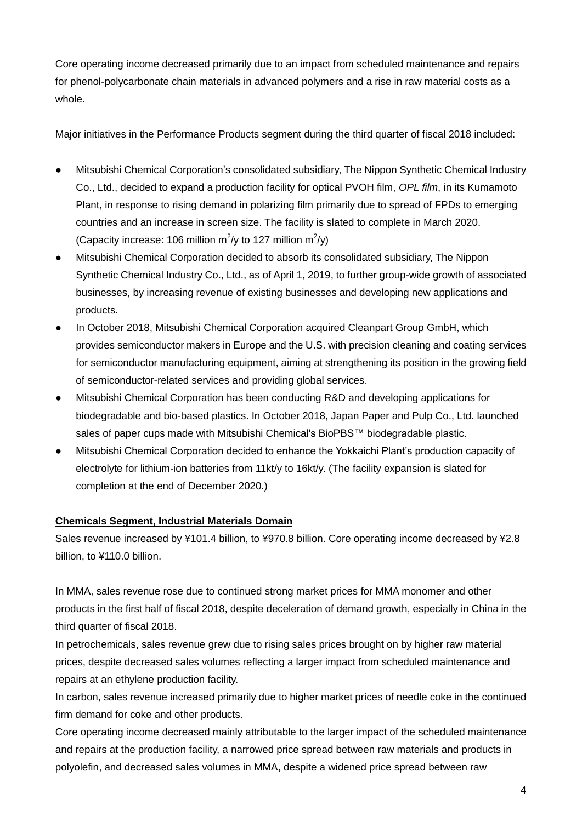Core operating income decreased primarily due to an impact from scheduled maintenance and repairs for phenol-polycarbonate chain materials in advanced polymers and a rise in raw material costs as a whole.

Major initiatives in the Performance Products segment during the third quarter of fiscal 2018 included:

- Mitsubishi Chemical Corporation's consolidated subsidiary, The Nippon Synthetic Chemical Industry Co., Ltd., decided to expand a production facility for optical PVOH film, *OPL film*, in its Kumamoto Plant, in response to rising demand in polarizing film primarily due to spread of FPDs to emerging countries and an increase in screen size. The facility is slated to complete in March 2020. (Capacity increase: 106 million  $m^2/y$  to 127 million  $m^2/y$ )
- Mitsubishi Chemical Corporation decided to absorb its consolidated subsidiary, The Nippon Synthetic Chemical Industry Co., Ltd., as of April 1, 2019, to further group-wide growth of associated businesses, by increasing revenue of existing businesses and developing new applications and products.
- In October 2018, Mitsubishi Chemical Corporation acquired Cleanpart Group GmbH, which provides semiconductor makers in Europe and the U.S. with precision cleaning and coating services for semiconductor manufacturing equipment, aiming at strengthening its position in the growing field of semiconductor-related services and providing global services.
- Mitsubishi Chemical Corporation has been conducting R&D and developing applications for biodegradable and bio-based plastics. In October 2018, Japan Paper and Pulp Co., Ltd. launched sales of paper cups made with Mitsubishi Chemical's BioPBS™ biodegradable plastic.
- Mitsubishi Chemical Corporation decided to enhance the Yokkaichi Plant's production capacity of electrolyte for lithium-ion batteries from 11kt/y to 16kt/y. (The facility expansion is slated for completion at the end of December 2020.)

# **Chemicals Segment, Industrial Materials Domain**

Sales revenue increased by ¥101.4 billion, to ¥970.8 billion. Core operating income decreased by ¥2.8 billion, to ¥110.0 billion.

In MMA, sales revenue rose due to continued strong market prices for MMA monomer and other products in the first half of fiscal 2018, despite deceleration of demand growth, especially in China in the third quarter of fiscal 2018.

In petrochemicals, sales revenue grew due to rising sales prices brought on by higher raw material prices, despite decreased sales volumes reflecting a larger impact from scheduled maintenance and repairs at an ethylene production facility.

In carbon, sales revenue increased primarily due to higher market prices of needle coke in the continued firm demand for coke and other products.

Core operating income decreased mainly attributable to the larger impact of the scheduled maintenance and repairs at the production facility, a narrowed price spread between raw materials and products in polyolefin, and decreased sales volumes in MMA, despite a widened price spread between raw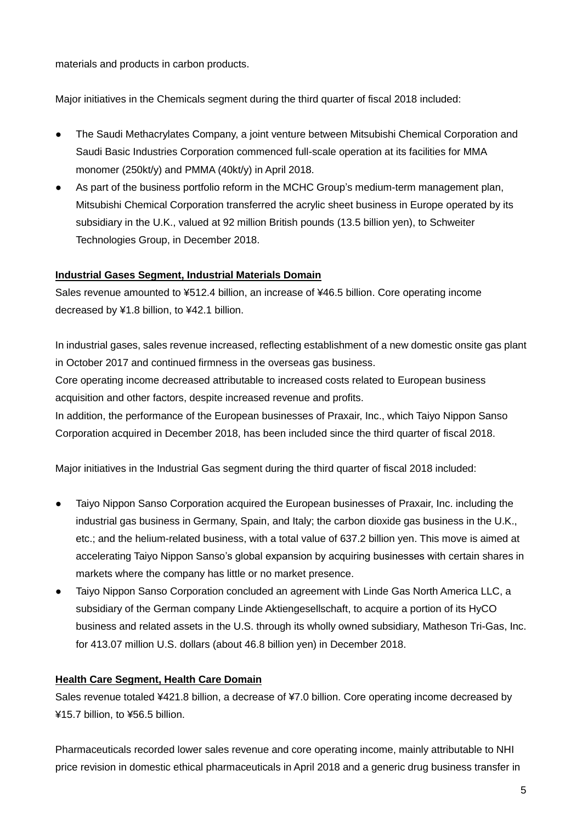materials and products in carbon products.

Major initiatives in the Chemicals segment during the third quarter of fiscal 2018 included:

- The Saudi Methacrylates Company, a joint venture between Mitsubishi Chemical Corporation and Saudi Basic Industries Corporation commenced full-scale operation at its facilities for MMA monomer (250kt/y) and PMMA (40kt/y) in April 2018.
- As part of the business portfolio reform in the MCHC Group's medium-term management plan, Mitsubishi Chemical Corporation transferred the acrylic sheet business in Europe operated by its subsidiary in the U.K., valued at 92 million British pounds (13.5 billion yen), to Schweiter Technologies Group, in December 2018.

## **Industrial Gases Segment, Industrial Materials Domain**

Sales revenue amounted to ¥512.4 billion, an increase of ¥46.5 billion. Core operating income decreased by ¥1.8 billion, to ¥42.1 billion.

In industrial gases, sales revenue increased, reflecting establishment of a new domestic onsite gas plant in October 2017 and continued firmness in the overseas gas business.

Core operating income decreased attributable to increased costs related to European business acquisition and other factors, despite increased revenue and profits.

In addition, the performance of the European businesses of Praxair, Inc., which Taiyo Nippon Sanso Corporation acquired in December 2018, has been included since the third quarter of fiscal 2018.

Major initiatives in the Industrial Gas segment during the third quarter of fiscal 2018 included:

- Taiyo Nippon Sanso Corporation acquired the European businesses of Praxair, Inc. including the industrial gas business in Germany, Spain, and Italy; the carbon dioxide gas business in the U.K., etc.; and the helium-related business, with a total value of 637.2 billion yen. This move is aimed at accelerating Taiyo Nippon Sanso's global expansion by acquiring businesses with certain shares in markets where the company has little or no market presence.
- Taiyo Nippon Sanso Corporation concluded an agreement with Linde Gas North America LLC, a subsidiary of the German company Linde Aktiengesellschaft, to acquire a portion of its HyCO business and related assets in the U.S. through its wholly owned subsidiary, Matheson Tri-Gas, Inc. for 413.07 million U.S. dollars (about 46.8 billion yen) in December 2018.

# **Health Care Segment, Health Care Domain**

Sales revenue totaled ¥421.8 billion, a decrease of ¥7.0 billion. Core operating income decreased by ¥15.7 billion, to ¥56.5 billion.

Pharmaceuticals recorded lower sales revenue and core operating income, mainly attributable to NHI price revision in domestic ethical pharmaceuticals in April 2018 and a generic drug business transfer in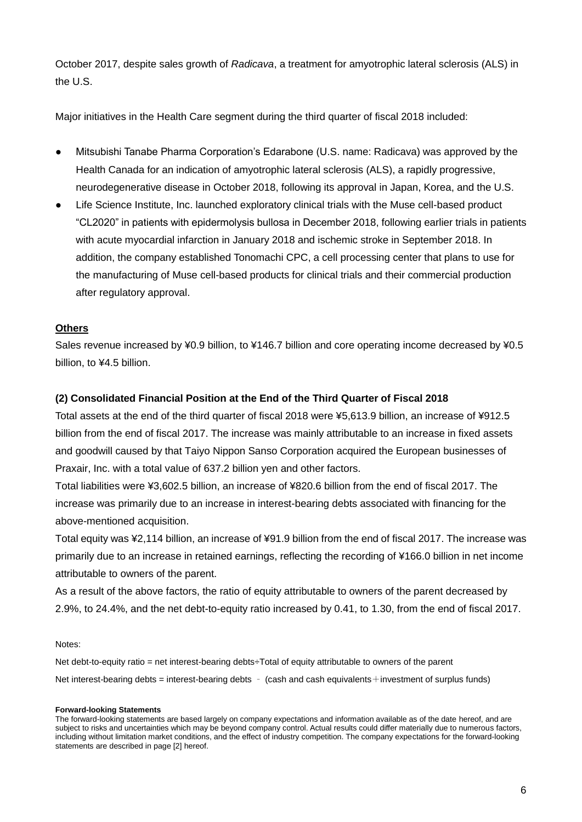October 2017, despite sales growth of *Radicava*, a treatment for amyotrophic lateral sclerosis (ALS) in the U.S.

Major initiatives in the Health Care segment during the third quarter of fiscal 2018 included:

- Mitsubishi Tanabe Pharma Corporation's Edarabone (U.S. name: Radicava) was approved by the Health Canada for an indication of amyotrophic lateral sclerosis (ALS), a rapidly progressive, neurodegenerative disease in October 2018, following its approval in Japan, Korea, and the U.S.
- Life Science Institute, Inc. launched exploratory clinical trials with the Muse cell-based product "CL2020" in patients with epidermolysis bullosa in December 2018, following earlier trials in patients with acute myocardial infarction in January 2018 and ischemic stroke in September 2018. In addition, the company established Tonomachi CPC, a cell processing center that plans to use for the manufacturing of Muse cell-based products for clinical trials and their commercial production after regulatory approval.

## **Others**

Sales revenue increased by ¥0.9 billion, to ¥146.7 billion and core operating income decreased by ¥0.5 billion, to ¥4.5 billion.

## **(2) Consolidated Financial Position at the End of the Third Quarter of Fiscal 2018**

Total assets at the end of the third quarter of fiscal 2018 were ¥5,613.9 billion, an increase of ¥912.5 billion from the end of fiscal 2017. The increase was mainly attributable to an increase in fixed assets and goodwill caused by that Taiyo Nippon Sanso Corporation acquired the European businesses of Praxair, Inc. with a total value of 637.2 billion yen and other factors.

Total liabilities were ¥3,602.5 billion, an increase of ¥820.6 billion from the end of fiscal 2017. The increase was primarily due to an increase in interest-bearing debts associated with financing for the above-mentioned acquisition.

Total equity was ¥2,114 billion, an increase of ¥91.9 billion from the end of fiscal 2017. The increase was primarily due to an increase in retained earnings, reflecting the recording of ¥166.0 billion in net income attributable to owners of the parent.

As a result of the above factors, the ratio of equity attributable to owners of the parent decreased by 2.9%, to 24.4%, and the net debt-to-equity ratio increased by 0.41, to 1.30, from the end of fiscal 2017.

Notes:

Net debt-to-equity ratio = net interest-bearing debts÷Total of equity attributable to owners of the parent Net interest-bearing debts = interest-bearing debts – (cash and cash equivalents+investment of surplus funds)

#### **Forward-looking Statements**

The forward-looking statements are based largely on company expectations and information available as of the date hereof, and are subject to risks and uncertainties which may be beyond company control. Actual results could differ materially due to numerous factors, including without limitation market conditions, and the effect of industry competition. The company expectations for the forward-looking statements are described in page [2] hereof.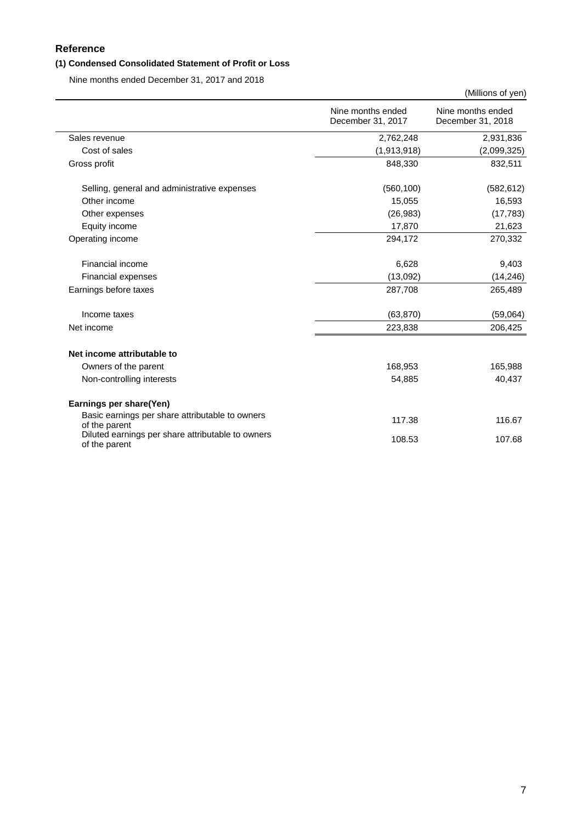## **Reference**

## **(1) Condensed Consolidated Statement of Profit or Loss**

Nine months ended December 31, 2017 and 2018

|                                                                    |                                        | (Millions of yen)                      |
|--------------------------------------------------------------------|----------------------------------------|----------------------------------------|
|                                                                    | Nine months ended<br>December 31, 2017 | Nine months ended<br>December 31, 2018 |
| Sales revenue                                                      | 2,762,248                              | 2,931,836                              |
| Cost of sales                                                      | (1,913,918)                            | (2,099,325)                            |
| Gross profit                                                       | 848,330                                | 832,511                                |
| Selling, general and administrative expenses                       | (560, 100)                             | (582, 612)                             |
| Other income                                                       | 15,055                                 | 16,593                                 |
| Other expenses                                                     | (26, 983)                              | (17, 783)                              |
| Equity income                                                      | 17,870                                 | 21,623                                 |
| Operating income                                                   | 294,172                                | 270,332                                |
| Financial income                                                   | 6,628                                  | 9,403                                  |
| Financial expenses                                                 | (13,092)                               | (14, 246)                              |
| Earnings before taxes                                              | 287,708                                | 265,489                                |
| Income taxes                                                       | (63, 870)                              | (59,064)                               |
| Net income                                                         | 223,838                                | 206,425                                |
| Net income attributable to                                         |                                        |                                        |
| Owners of the parent                                               | 168,953                                | 165,988                                |
| Non-controlling interests                                          | 54,885                                 | 40,437                                 |
| Earnings per share(Yen)                                            |                                        |                                        |
| Basic earnings per share attributable to owners<br>of the parent   | 117.38                                 | 116.67                                 |
| Diluted earnings per share attributable to owners<br>of the parent | 108.53                                 | 107.68                                 |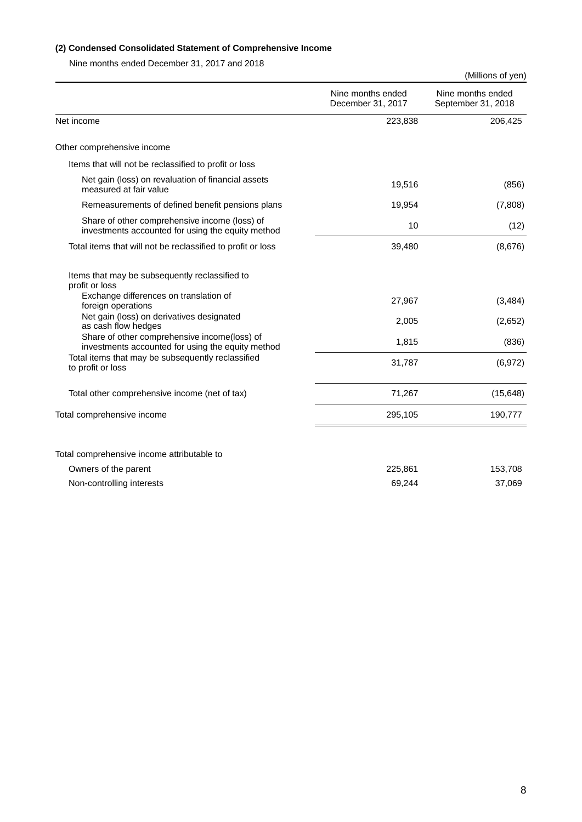#### **(2) Condensed Consolidated Statement of Comprehensive Income**

Nine months ended December 31, 2017 and 2018

|                                                                                                    |                                        | (Millions of yen)                       |
|----------------------------------------------------------------------------------------------------|----------------------------------------|-----------------------------------------|
|                                                                                                    | Nine months ended<br>December 31, 2017 | Nine months ended<br>September 31, 2018 |
| Net income                                                                                         | 223,838                                | 206,425                                 |
| Other comprehensive income                                                                         |                                        |                                         |
| Items that will not be reclassified to profit or loss                                              |                                        |                                         |
| Net gain (loss) on revaluation of financial assets<br>measured at fair value                       | 19,516                                 | (856)                                   |
| Remeasurements of defined benefit pensions plans                                                   | 19,954                                 | (7,808)                                 |
| Share of other comprehensive income (loss) of<br>investments accounted for using the equity method | 10                                     | (12)                                    |
| Total items that will not be reclassified to profit or loss                                        | 39,480                                 | (8,676)                                 |
| Items that may be subsequently reclassified to<br>profit or loss                                   |                                        |                                         |
| Exchange differences on translation of<br>foreign operations                                       | 27,967                                 | (3, 484)                                |
| Net gain (loss) on derivatives designated<br>as cash flow hedges                                   | 2,005                                  | (2,652)                                 |
| Share of other comprehensive income(loss) of<br>investments accounted for using the equity method  | 1,815                                  | (836)                                   |
| Total items that may be subsequently reclassified<br>to profit or loss                             | 31,787                                 | (6,972)                                 |
| Total other comprehensive income (net of tax)                                                      | 71,267                                 | (15, 648)                               |
| Total comprehensive income                                                                         | 295,105                                | 190,777                                 |
|                                                                                                    |                                        |                                         |
| Total comprehensive income attributable to                                                         |                                        |                                         |
| Owners of the parent                                                                               | 225,861                                | 153,708                                 |
| Non-controlling interests                                                                          | 69,244                                 | 37,069                                  |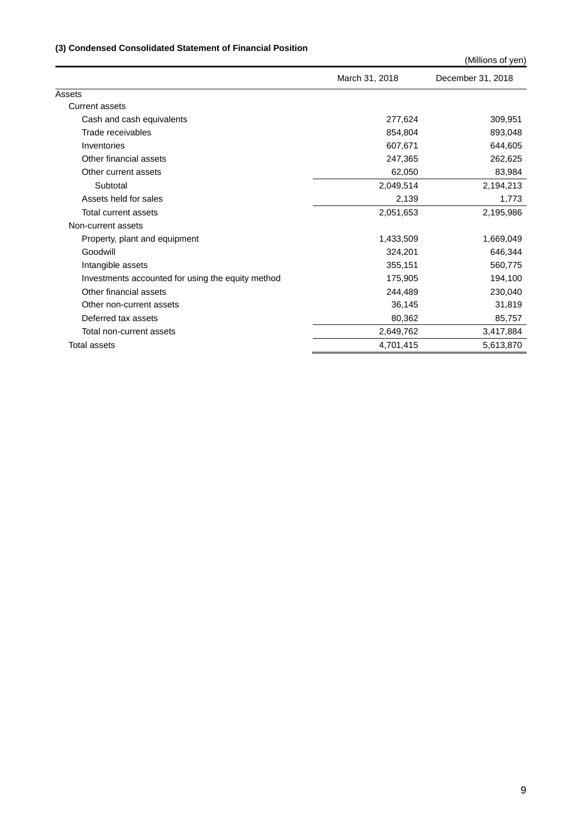### **(3) Condensed Consolidated Statement of Financial Position**

(Millions of yen)

|                                                   | March 31, 2018 | December 31, 2018 |
|---------------------------------------------------|----------------|-------------------|
| Assets                                            |                |                   |
| <b>Current assets</b>                             |                |                   |
| Cash and cash equivalents                         | 277,624        | 309,951           |
| Trade receivables                                 | 854,804        | 893,048           |
| Inventories                                       | 607,671        | 644,605           |
| Other financial assets                            | 247,365        | 262,625           |
| Other current assets                              | 62,050         | 83,984            |
| Subtotal                                          | 2,049,514      | 2,194,213         |
| Assets held for sales                             | 2,139          | 1,773             |
| Total current assets                              | 2,051,653      | 2,195,986         |
| Non-current assets                                |                |                   |
| Property, plant and equipment                     | 1,433,509      | 1,669,049         |
| Goodwill                                          | 324,201        | 646,344           |
| Intangible assets                                 | 355,151        | 560,775           |
| Investments accounted for using the equity method | 175,905        | 194,100           |
| Other financial assets                            | 244,489        | 230,040           |
| Other non-current assets                          | 36,145         | 31,819            |
| Deferred tax assets                               | 80,362         | 85,757            |
| Total non-current assets                          | 2,649,762      | 3,417,884         |
| Total assets                                      | 4,701,415      | 5,613,870         |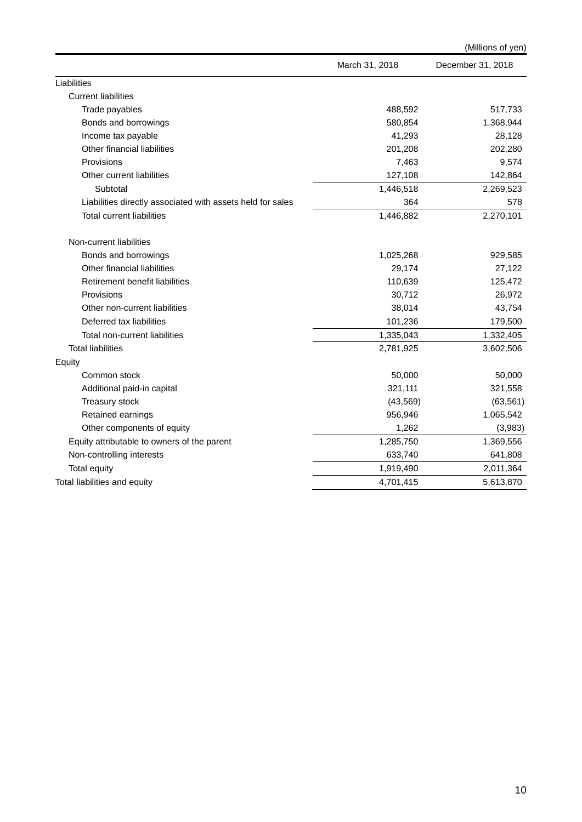|                                                            |                | (Millions of yen) |
|------------------------------------------------------------|----------------|-------------------|
|                                                            | March 31, 2018 | December 31, 2018 |
| Liabilities                                                |                |                   |
| <b>Current liabilities</b>                                 |                |                   |
| Trade payables                                             | 488,592        | 517,733           |
| Bonds and borrowings                                       | 580,854        | 1,368,944         |
| Income tax payable                                         | 41,293         | 28,128            |
| Other financial liabilities                                | 201,208        | 202,280           |
| Provisions                                                 | 7,463          | 9,574             |
| Other current liabilities                                  | 127,108        | 142,864           |
| Subtotal                                                   | 1,446,518      | 2,269,523         |
| Liabilities directly associated with assets held for sales | 364            | 578               |
| <b>Total current liabilities</b>                           | 1,446,882      | 2,270,101         |
| Non-current liabilities                                    |                |                   |
| Bonds and borrowings                                       | 1,025,268      | 929,585           |
| Other financial liabilities                                | 29,174         | 27,122            |
| Retirement benefit liabilities                             | 110,639        | 125,472           |
| Provisions                                                 | 30,712         | 26,972            |
| Other non-current liabilities                              | 38,014         | 43,754            |
| Deferred tax liabilities                                   | 101,236        | 179,500           |
| Total non-current liabilities                              | 1,335,043      | 1,332,405         |
| <b>Total liabilities</b>                                   | 2,781,925      | 3,602,506         |
| Equity                                                     |                |                   |
| Common stock                                               | 50,000         | 50,000            |
| Additional paid-in capital                                 | 321,111        | 321,558           |
| Treasury stock                                             | (43, 569)      | (63, 561)         |
| Retained earnings                                          | 956,946        | 1,065,542         |
| Other components of equity                                 | 1,262          | (3,983)           |
| Equity attributable to owners of the parent                | 1,285,750      | 1,369,556         |
| Non-controlling interests                                  | 633,740        | 641,808           |
| <b>Total equity</b>                                        | 1,919,490      | 2,011,364         |
| Total liabilities and equity                               | 4,701,415      | 5,613,870         |
|                                                            |                |                   |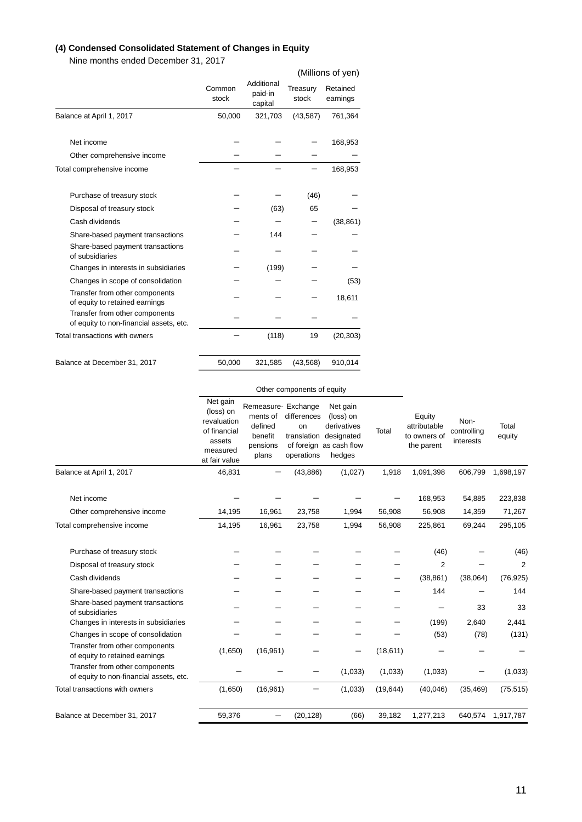#### **(4) Condensed Consolidated Statement of Changes in Equity**

Nine months ended December 31, 2017

|                                                                           |                 |                                  |                   | (Millions of yen)    |
|---------------------------------------------------------------------------|-----------------|----------------------------------|-------------------|----------------------|
|                                                                           | Common<br>stock | Additional<br>paid-in<br>capital | Treasury<br>stock | Retained<br>earnings |
| Balance at April 1, 2017                                                  | 50,000          | 321,703                          | (43, 587)         | 761,364              |
| Net income                                                                |                 |                                  |                   | 168,953              |
| Other comprehensive income                                                |                 |                                  |                   |                      |
| Total comprehensive income                                                |                 |                                  |                   | 168,953              |
| Purchase of treasury stock                                                |                 |                                  | (46)              |                      |
| Disposal of treasury stock                                                |                 | (63)                             | 65                |                      |
| Cash dividends                                                            |                 |                                  |                   | (38, 861)            |
| Share-based payment transactions                                          |                 | 144                              |                   |                      |
| Share-based payment transactions<br>of subsidiaries                       |                 |                                  |                   |                      |
| Changes in interests in subsidiaries                                      |                 | (199)                            |                   |                      |
| Changes in scope of consolidation                                         |                 |                                  |                   | (53)                 |
| Transfer from other components<br>of equity to retained earnings          |                 |                                  |                   | 18,611               |
| Transfer from other components<br>of equity to non-financial assets, etc. |                 |                                  |                   |                      |
| Total transactions with owners                                            |                 | (118)                            | 19                | (20, 303)            |
| Balance at December 31, 2017                                              | 50,000          | 321,585                          | (43, 568)         | 910,014              |

#### Other components of equity

|                                                                           | Net gain<br>(loss) on<br>revaluation<br>of financial<br>assets<br>measured<br>at fair value | Remeasure- Exchange<br>ments of<br>defined<br>benefit<br>pensions<br>plans | differences<br>on<br>translation<br>operations | Net gain<br>(loss) on<br>derivatives<br>designated<br>of foreign as cash flow<br>hedges | Total     | Equity<br>attributable<br>to owners of<br>the parent | Non-<br>controlling<br>interests | Total<br>equity |
|---------------------------------------------------------------------------|---------------------------------------------------------------------------------------------|----------------------------------------------------------------------------|------------------------------------------------|-----------------------------------------------------------------------------------------|-----------|------------------------------------------------------|----------------------------------|-----------------|
| Balance at April 1, 2017                                                  | 46,831                                                                                      |                                                                            | (43, 886)                                      | (1,027)                                                                                 | 1,918     | 1,091,398                                            | 606,799                          | 1,698,197       |
| Net income                                                                |                                                                                             |                                                                            |                                                |                                                                                         |           | 168,953                                              | 54,885                           | 223,838         |
| Other comprehensive income                                                | 14,195                                                                                      | 16,961                                                                     | 23,758                                         | 1,994                                                                                   | 56,908    | 56,908                                               | 14,359                           | 71,267          |
| Total comprehensive income                                                | 14,195                                                                                      | 16,961                                                                     | 23,758                                         | 1,994                                                                                   | 56,908    | 225,861                                              | 69,244                           | 295,105         |
| Purchase of treasury stock                                                |                                                                                             |                                                                            |                                                |                                                                                         |           | (46)                                                 |                                  | (46)            |
| Disposal of treasury stock                                                |                                                                                             |                                                                            |                                                |                                                                                         |           | $\overline{2}$                                       |                                  | $\overline{2}$  |
| Cash dividends                                                            |                                                                                             |                                                                            |                                                |                                                                                         |           | (38, 861)                                            | (38,064)                         | (76, 925)       |
| Share-based payment transactions                                          |                                                                                             |                                                                            |                                                |                                                                                         |           | 144                                                  |                                  | 144             |
| Share-based payment transactions<br>of subsidiaries                       |                                                                                             |                                                                            |                                                |                                                                                         |           |                                                      | 33                               | 33              |
| Changes in interests in subsidiaries                                      |                                                                                             |                                                                            |                                                |                                                                                         |           | (199)                                                | 2,640                            | 2,441           |
| Changes in scope of consolidation                                         |                                                                                             |                                                                            |                                                |                                                                                         |           | (53)                                                 | (78)                             | (131)           |
| Transfer from other components<br>of equity to retained earnings          | (1,650)                                                                                     | (16,961)                                                                   |                                                |                                                                                         | (18, 611) |                                                      |                                  |                 |
| Transfer from other components<br>of equity to non-financial assets, etc. |                                                                                             |                                                                            |                                                | (1,033)                                                                                 | (1,033)   | (1,033)                                              |                                  | (1,033)         |
| Total transactions with owners                                            | (1,650)                                                                                     | (16,961)                                                                   | —                                              | (1,033)                                                                                 | (19, 644) | (40,046)                                             | (35, 469)                        | (75, 515)       |
| Balance at December 31, 2017                                              | 59,376                                                                                      |                                                                            | (20, 128)                                      | (66)                                                                                    | 39,182    | 1,277,213                                            | 640,574                          | 1,917,787       |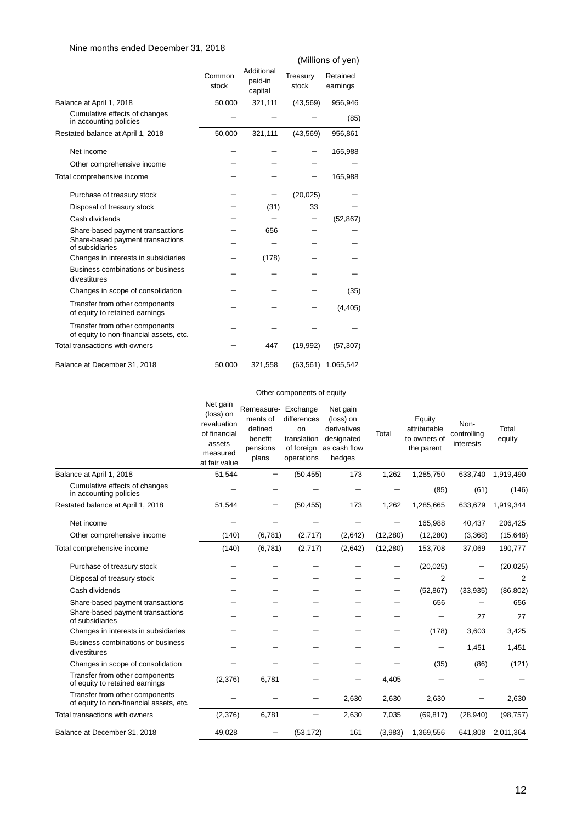#### Nine months ended December 31, 2018

|                                                                           |                 |                                  |                   | (Millions of yen)    |
|---------------------------------------------------------------------------|-----------------|----------------------------------|-------------------|----------------------|
|                                                                           | Common<br>stock | Additional<br>paid-in<br>capital | Treasury<br>stock | Retained<br>earnings |
| Balance at April 1, 2018                                                  | 50,000          | 321,111                          | (43, 569)         | 956,946              |
| Cumulative effects of changes<br>in accounting policies                   |                 |                                  |                   | (85)                 |
| Restated balance at April 1, 2018                                         | 50,000          | 321,111                          | (43, 569)         | 956,861              |
| Net income                                                                |                 |                                  |                   | 165,988              |
| Other comprehensive income                                                |                 |                                  |                   |                      |
| Total comprehensive income                                                |                 |                                  |                   | 165,988              |
| Purchase of treasury stock                                                |                 |                                  | (20, 025)         |                      |
| Disposal of treasury stock                                                |                 | (31)                             | 33                |                      |
| Cash dividends                                                            |                 |                                  |                   | (52, 867)            |
| Share-based payment transactions                                          |                 | 656                              |                   |                      |
| Share-based payment transactions<br>of subsidiaries                       |                 |                                  |                   |                      |
| Changes in interests in subsidiaries                                      |                 | (178)                            |                   |                      |
| Business combinations or business<br>divestitures                         |                 |                                  |                   |                      |
| Changes in scope of consolidation                                         |                 |                                  |                   | (35)                 |
| Transfer from other components<br>of equity to retained earnings          |                 |                                  |                   | (4, 405)             |
| Transfer from other components<br>of equity to non-financial assets, etc. |                 |                                  |                   |                      |
| Total transactions with owners                                            |                 | 447                              | (19,992)          | (57, 307)            |
| Balance at December 31, 2018                                              | 50,000          | 321,558                          | (63, 561)         | 1,065,542            |

#### Other components of equity

| Balance at April 1, 2018<br>51,544<br>1,262<br>1,919,490<br>(50, 455)<br>173<br>1,285,750<br>633,740<br>Cumulative effects of changes<br>(61)<br>(85)<br>(146)<br>in accounting policies<br>51,544<br>(50, 455)<br>173<br>1,262<br>1,285,665<br>633,679<br>1,919,344<br>Restated balance at April 1, 2018<br>Net income<br>165,988<br>206,425<br>40,437<br>(140)<br>(6, 781)<br>(2,717)<br>(12, 280)<br>(12, 280)<br>(3,368)<br>(15, 648)<br>Other comprehensive income<br>(2,642)<br>(140)<br>(6, 781)<br>(2,717)<br>(2,642)<br>(12, 280)<br>153,708<br>190,777<br>Total comprehensive income<br>37,069<br>(20, 025)<br>Purchase of treasury stock<br>(20, 025)<br>$\overline{2}$<br>$\overline{2}$<br>Disposal of treasury stock<br>(52, 867)<br>Cash dividends<br>(86, 802)<br>(33,935)<br>656<br>656<br>Share-based payment transactions<br>Share-based payment transactions<br>27<br>27<br>of subsidiaries<br>3,603<br>3,425<br>Changes in interests in subsidiaries<br>(178)<br>Business combinations or business<br>1,451<br>1,451<br>divestitures<br>(86)<br>(121)<br>Changes in scope of consolidation<br>(35)<br>Transfer from other components<br>(2,376)<br>6,781<br>4,405<br>of equity to retained earnings<br>Transfer from other components<br>2,630<br>2,630<br>2,630<br>2,630<br>of equity to non-financial assets, etc.<br>Total transactions with owners<br>(2,376)<br>6,781<br>(98, 757)<br>2,630<br>7,035<br>(69, 817)<br>(28, 940)<br>49,028<br>161<br>641,808<br>2,011,364<br>Balance at December 31, 2018<br>(53, 172)<br>(3,983)<br>1,369,556<br>- | Net gain<br>(loss) on<br>revaluation<br>of financial<br>assets<br>measured<br>at fair value | Remeasure- Exchange<br>ments of<br>defined<br>benefit<br>pensions<br>plans | differences<br>on<br>translation<br>of foreign<br>operations | Net gain<br>(loss) on<br>derivatives<br>designated<br>as cash flow<br>hedges | Total | Equity<br>attributable<br>to owners of<br>the parent | Non-<br>controlling<br>interests | Total<br>equity |
|-----------------------------------------------------------------------------------------------------------------------------------------------------------------------------------------------------------------------------------------------------------------------------------------------------------------------------------------------------------------------------------------------------------------------------------------------------------------------------------------------------------------------------------------------------------------------------------------------------------------------------------------------------------------------------------------------------------------------------------------------------------------------------------------------------------------------------------------------------------------------------------------------------------------------------------------------------------------------------------------------------------------------------------------------------------------------------------------------------------------------------------------------------------------------------------------------------------------------------------------------------------------------------------------------------------------------------------------------------------------------------------------------------------------------------------------------------------------------------------------------------------------------------------------------------------------------------|---------------------------------------------------------------------------------------------|----------------------------------------------------------------------------|--------------------------------------------------------------|------------------------------------------------------------------------------|-------|------------------------------------------------------|----------------------------------|-----------------|
|                                                                                                                                                                                                                                                                                                                                                                                                                                                                                                                                                                                                                                                                                                                                                                                                                                                                                                                                                                                                                                                                                                                                                                                                                                                                                                                                                                                                                                                                                                                                                                             |                                                                                             |                                                                            |                                                              |                                                                              |       |                                                      |                                  |                 |
|                                                                                                                                                                                                                                                                                                                                                                                                                                                                                                                                                                                                                                                                                                                                                                                                                                                                                                                                                                                                                                                                                                                                                                                                                                                                                                                                                                                                                                                                                                                                                                             |                                                                                             |                                                                            |                                                              |                                                                              |       |                                                      |                                  |                 |
|                                                                                                                                                                                                                                                                                                                                                                                                                                                                                                                                                                                                                                                                                                                                                                                                                                                                                                                                                                                                                                                                                                                                                                                                                                                                                                                                                                                                                                                                                                                                                                             |                                                                                             |                                                                            |                                                              |                                                                              |       |                                                      |                                  |                 |
|                                                                                                                                                                                                                                                                                                                                                                                                                                                                                                                                                                                                                                                                                                                                                                                                                                                                                                                                                                                                                                                                                                                                                                                                                                                                                                                                                                                                                                                                                                                                                                             |                                                                                             |                                                                            |                                                              |                                                                              |       |                                                      |                                  |                 |
|                                                                                                                                                                                                                                                                                                                                                                                                                                                                                                                                                                                                                                                                                                                                                                                                                                                                                                                                                                                                                                                                                                                                                                                                                                                                                                                                                                                                                                                                                                                                                                             |                                                                                             |                                                                            |                                                              |                                                                              |       |                                                      |                                  |                 |
|                                                                                                                                                                                                                                                                                                                                                                                                                                                                                                                                                                                                                                                                                                                                                                                                                                                                                                                                                                                                                                                                                                                                                                                                                                                                                                                                                                                                                                                                                                                                                                             |                                                                                             |                                                                            |                                                              |                                                                              |       |                                                      |                                  |                 |
|                                                                                                                                                                                                                                                                                                                                                                                                                                                                                                                                                                                                                                                                                                                                                                                                                                                                                                                                                                                                                                                                                                                                                                                                                                                                                                                                                                                                                                                                                                                                                                             |                                                                                             |                                                                            |                                                              |                                                                              |       |                                                      |                                  |                 |
|                                                                                                                                                                                                                                                                                                                                                                                                                                                                                                                                                                                                                                                                                                                                                                                                                                                                                                                                                                                                                                                                                                                                                                                                                                                                                                                                                                                                                                                                                                                                                                             |                                                                                             |                                                                            |                                                              |                                                                              |       |                                                      |                                  |                 |
|                                                                                                                                                                                                                                                                                                                                                                                                                                                                                                                                                                                                                                                                                                                                                                                                                                                                                                                                                                                                                                                                                                                                                                                                                                                                                                                                                                                                                                                                                                                                                                             |                                                                                             |                                                                            |                                                              |                                                                              |       |                                                      |                                  |                 |
|                                                                                                                                                                                                                                                                                                                                                                                                                                                                                                                                                                                                                                                                                                                                                                                                                                                                                                                                                                                                                                                                                                                                                                                                                                                                                                                                                                                                                                                                                                                                                                             |                                                                                             |                                                                            |                                                              |                                                                              |       |                                                      |                                  |                 |
|                                                                                                                                                                                                                                                                                                                                                                                                                                                                                                                                                                                                                                                                                                                                                                                                                                                                                                                                                                                                                                                                                                                                                                                                                                                                                                                                                                                                                                                                                                                                                                             |                                                                                             |                                                                            |                                                              |                                                                              |       |                                                      |                                  |                 |
|                                                                                                                                                                                                                                                                                                                                                                                                                                                                                                                                                                                                                                                                                                                                                                                                                                                                                                                                                                                                                                                                                                                                                                                                                                                                                                                                                                                                                                                                                                                                                                             |                                                                                             |                                                                            |                                                              |                                                                              |       |                                                      |                                  |                 |
|                                                                                                                                                                                                                                                                                                                                                                                                                                                                                                                                                                                                                                                                                                                                                                                                                                                                                                                                                                                                                                                                                                                                                                                                                                                                                                                                                                                                                                                                                                                                                                             |                                                                                             |                                                                            |                                                              |                                                                              |       |                                                      |                                  |                 |
|                                                                                                                                                                                                                                                                                                                                                                                                                                                                                                                                                                                                                                                                                                                                                                                                                                                                                                                                                                                                                                                                                                                                                                                                                                                                                                                                                                                                                                                                                                                                                                             |                                                                                             |                                                                            |                                                              |                                                                              |       |                                                      |                                  |                 |
|                                                                                                                                                                                                                                                                                                                                                                                                                                                                                                                                                                                                                                                                                                                                                                                                                                                                                                                                                                                                                                                                                                                                                                                                                                                                                                                                                                                                                                                                                                                                                                             |                                                                                             |                                                                            |                                                              |                                                                              |       |                                                      |                                  |                 |
|                                                                                                                                                                                                                                                                                                                                                                                                                                                                                                                                                                                                                                                                                                                                                                                                                                                                                                                                                                                                                                                                                                                                                                                                                                                                                                                                                                                                                                                                                                                                                                             |                                                                                             |                                                                            |                                                              |                                                                              |       |                                                      |                                  |                 |
|                                                                                                                                                                                                                                                                                                                                                                                                                                                                                                                                                                                                                                                                                                                                                                                                                                                                                                                                                                                                                                                                                                                                                                                                                                                                                                                                                                                                                                                                                                                                                                             |                                                                                             |                                                                            |                                                              |                                                                              |       |                                                      |                                  |                 |
|                                                                                                                                                                                                                                                                                                                                                                                                                                                                                                                                                                                                                                                                                                                                                                                                                                                                                                                                                                                                                                                                                                                                                                                                                                                                                                                                                                                                                                                                                                                                                                             |                                                                                             |                                                                            |                                                              |                                                                              |       |                                                      |                                  |                 |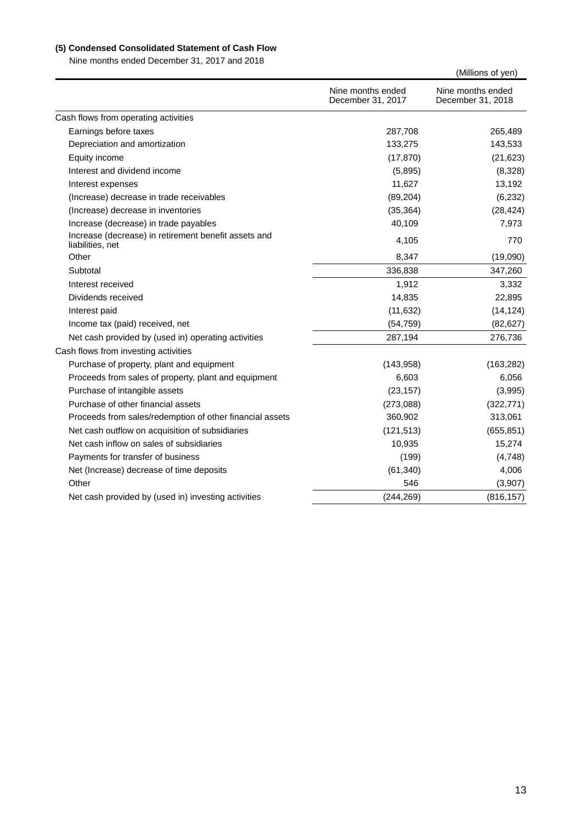### **(5) Condensed Consolidated Statement of Cash Flow**

Nine months ended December 31, 2017 and 2018

|                                                                          |                                        | (Millions of yen)                      |
|--------------------------------------------------------------------------|----------------------------------------|----------------------------------------|
|                                                                          | Nine months ended<br>December 31, 2017 | Nine months ended<br>December 31, 2018 |
| Cash flows from operating activities                                     |                                        |                                        |
| Earnings before taxes                                                    | 287,708                                | 265,489                                |
| Depreciation and amortization                                            | 133,275                                | 143,533                                |
| Equity income                                                            | (17, 870)                              | (21, 623)                              |
| Interest and dividend income                                             | (5,895)                                | (8,328)                                |
| Interest expenses                                                        | 11,627                                 | 13,192                                 |
| (Increase) decrease in trade receivables                                 | (89, 204)                              | (6, 232)                               |
| (Increase) decrease in inventories                                       | (35, 364)                              | (28, 424)                              |
| Increase (decrease) in trade payables                                    | 40,109                                 | 7,973                                  |
| Increase (decrease) in retirement benefit assets and<br>liabilities, net | 4,105                                  | 770                                    |
| Other                                                                    | 8,347                                  | (19,090)                               |
| Subtotal                                                                 | 336,838                                | 347,260                                |
| Interest received                                                        | 1,912                                  | 3,332                                  |
| Dividends received                                                       | 14,835                                 | 22,895                                 |
| Interest paid                                                            | (11, 632)                              | (14, 124)                              |
| Income tax (paid) received, net                                          | (54, 759)                              | (82, 627)                              |
| Net cash provided by (used in) operating activities                      | 287,194                                | 276,736                                |
| Cash flows from investing activities                                     |                                        |                                        |
| Purchase of property, plant and equipment                                | (143,958)                              | (163, 282)                             |
| Proceeds from sales of property, plant and equipment                     | 6,603                                  | 6,056                                  |
| Purchase of intangible assets                                            | (23, 157)                              | (3,995)                                |
| Purchase of other financial assets                                       | (273,088)                              | (322, 771)                             |
| Proceeds from sales/redemption of other financial assets                 | 360,902                                | 313,061                                |
| Net cash outflow on acquisition of subsidiaries                          | (121, 513)                             | (655, 851)                             |
| Net cash inflow on sales of subsidiaries                                 | 10,935                                 | 15,274                                 |
| Payments for transfer of business                                        | (199)                                  | (4,748)                                |
| Net (Increase) decrease of time deposits                                 | (61, 340)                              | 4,006                                  |
| Other                                                                    | 546                                    | (3,907)                                |
| Net cash provided by (used in) investing activities                      | (244, 269)                             | (816, 157)                             |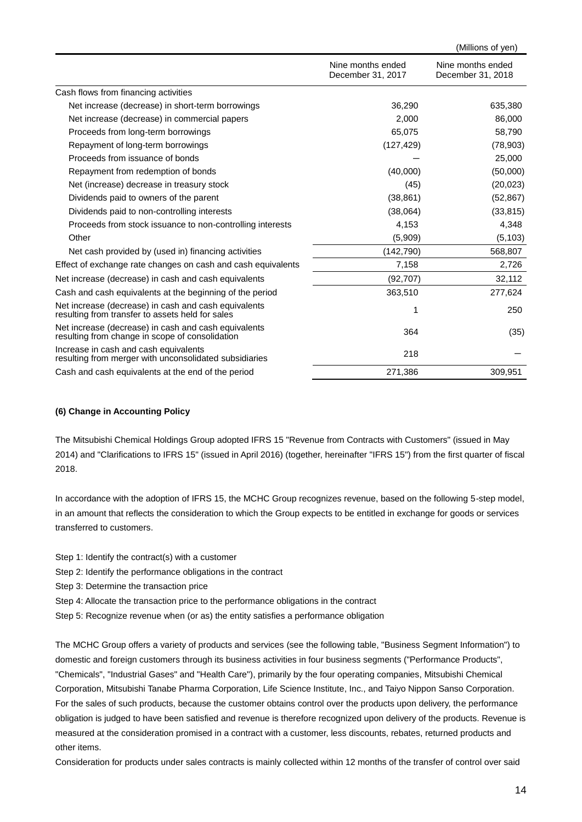| Nine months ended<br>Nine months ended<br>December 31, 2017<br>December 31, 2018<br>Cash flows from financing activities<br>Net increase (decrease) in short-term borrowings<br>36,290<br>Net increase (decrease) in commercial papers<br>2,000<br>65,075<br>Proceeds from long-term borrowings<br>Repayment of long-term borrowings<br>(127, 429)<br>Proceeds from issuance of bonds<br>Repayment from redemption of bonds<br>(40,000)<br>Net (increase) decrease in treasury stock<br>(45)<br>(38, 861)<br>Dividends paid to owners of the parent<br>Dividends paid to non-controlling interests<br>(38,064)<br>Proceeds from stock issuance to non-controlling interests<br>4,153<br>Other<br>(5,909)<br>Net cash provided by (used in) financing activities<br>(142,790)<br>7,158<br>Effect of exchange rate changes on cash and cash equivalents<br>Net increase (decrease) in cash and cash equivalents<br>(92, 707) |  | (Millions of yen) |
|----------------------------------------------------------------------------------------------------------------------------------------------------------------------------------------------------------------------------------------------------------------------------------------------------------------------------------------------------------------------------------------------------------------------------------------------------------------------------------------------------------------------------------------------------------------------------------------------------------------------------------------------------------------------------------------------------------------------------------------------------------------------------------------------------------------------------------------------------------------------------------------------------------------------------|--|-------------------|
|                                                                                                                                                                                                                                                                                                                                                                                                                                                                                                                                                                                                                                                                                                                                                                                                                                                                                                                            |  |                   |
|                                                                                                                                                                                                                                                                                                                                                                                                                                                                                                                                                                                                                                                                                                                                                                                                                                                                                                                            |  |                   |
|                                                                                                                                                                                                                                                                                                                                                                                                                                                                                                                                                                                                                                                                                                                                                                                                                                                                                                                            |  | 635,380           |
|                                                                                                                                                                                                                                                                                                                                                                                                                                                                                                                                                                                                                                                                                                                                                                                                                                                                                                                            |  | 86,000            |
|                                                                                                                                                                                                                                                                                                                                                                                                                                                                                                                                                                                                                                                                                                                                                                                                                                                                                                                            |  | 58,790            |
|                                                                                                                                                                                                                                                                                                                                                                                                                                                                                                                                                                                                                                                                                                                                                                                                                                                                                                                            |  | (78,903)          |
|                                                                                                                                                                                                                                                                                                                                                                                                                                                                                                                                                                                                                                                                                                                                                                                                                                                                                                                            |  | 25,000            |
|                                                                                                                                                                                                                                                                                                                                                                                                                                                                                                                                                                                                                                                                                                                                                                                                                                                                                                                            |  | (50,000)          |
|                                                                                                                                                                                                                                                                                                                                                                                                                                                                                                                                                                                                                                                                                                                                                                                                                                                                                                                            |  | (20, 023)         |
|                                                                                                                                                                                                                                                                                                                                                                                                                                                                                                                                                                                                                                                                                                                                                                                                                                                                                                                            |  | (52, 867)         |
|                                                                                                                                                                                                                                                                                                                                                                                                                                                                                                                                                                                                                                                                                                                                                                                                                                                                                                                            |  | (33, 815)         |
|                                                                                                                                                                                                                                                                                                                                                                                                                                                                                                                                                                                                                                                                                                                                                                                                                                                                                                                            |  | 4,348             |
|                                                                                                                                                                                                                                                                                                                                                                                                                                                                                                                                                                                                                                                                                                                                                                                                                                                                                                                            |  | (5, 103)          |
|                                                                                                                                                                                                                                                                                                                                                                                                                                                                                                                                                                                                                                                                                                                                                                                                                                                                                                                            |  | 568,807           |
|                                                                                                                                                                                                                                                                                                                                                                                                                                                                                                                                                                                                                                                                                                                                                                                                                                                                                                                            |  | 2,726             |
|                                                                                                                                                                                                                                                                                                                                                                                                                                                                                                                                                                                                                                                                                                                                                                                                                                                                                                                            |  | 32,112            |
| 363,510<br>Cash and cash equivalents at the beginning of the period                                                                                                                                                                                                                                                                                                                                                                                                                                                                                                                                                                                                                                                                                                                                                                                                                                                        |  | 277,624           |
| Net increase (decrease) in cash and cash equivalents<br>1<br>resulting from transfer to assets held for sales                                                                                                                                                                                                                                                                                                                                                                                                                                                                                                                                                                                                                                                                                                                                                                                                              |  | 250               |
| Net increase (decrease) in cash and cash equivalents<br>364<br>resulting from change in scope of consolidation                                                                                                                                                                                                                                                                                                                                                                                                                                                                                                                                                                                                                                                                                                                                                                                                             |  | (35)              |
| Increase in cash and cash equivalents<br>218<br>resulting from merger with unconsolidated subsidiaries                                                                                                                                                                                                                                                                                                                                                                                                                                                                                                                                                                                                                                                                                                                                                                                                                     |  |                   |
| 309,951<br>Cash and cash equivalents at the end of the period<br>271,386                                                                                                                                                                                                                                                                                                                                                                                                                                                                                                                                                                                                                                                                                                                                                                                                                                                   |  |                   |

#### **(6) Change in Accounting Policy**

The Mitsubishi Chemical Holdings Group adopted IFRS 15 "Revenue from Contracts with Customers" (issued in May 2014) and "Clarifications to IFRS 15" (issued in April 2016) (together, hereinafter "IFRS 15") from the first quarter of fiscal 2018.

In accordance with the adoption of IFRS 15, the MCHC Group recognizes revenue, based on the following 5-step model, in an amount that reflects the consideration to which the Group expects to be entitled in exchange for goods or services transferred to customers.

- Step 1: Identify the contract(s) with a customer
- Step 2: Identify the performance obligations in the contract
- Step 3: Determine the transaction price
- Step 4: Allocate the transaction price to the performance obligations in the contract
- Step 5: Recognize revenue when (or as) the entity satisfies a performance obligation

The MCHC Group offers a variety of products and services (see the following table, "Business Segment Information") to domestic and foreign customers through its business activities in four business segments ("Performance Products", "Chemicals", "Industrial Gases" and "Health Care"), primarily by the four operating companies, Mitsubishi Chemical Corporation, Mitsubishi Tanabe Pharma Corporation, Life Science Institute, Inc., and Taiyo Nippon Sanso Corporation. For the sales of such products, because the customer obtains control over the products upon delivery, the performance obligation is judged to have been satisfied and revenue is therefore recognized upon delivery of the products. Revenue is measured at the consideration promised in a contract with a customer, less discounts, rebates, returned products and other items.

Consideration for products under sales contracts is mainly collected within 12 months of the transfer of control over said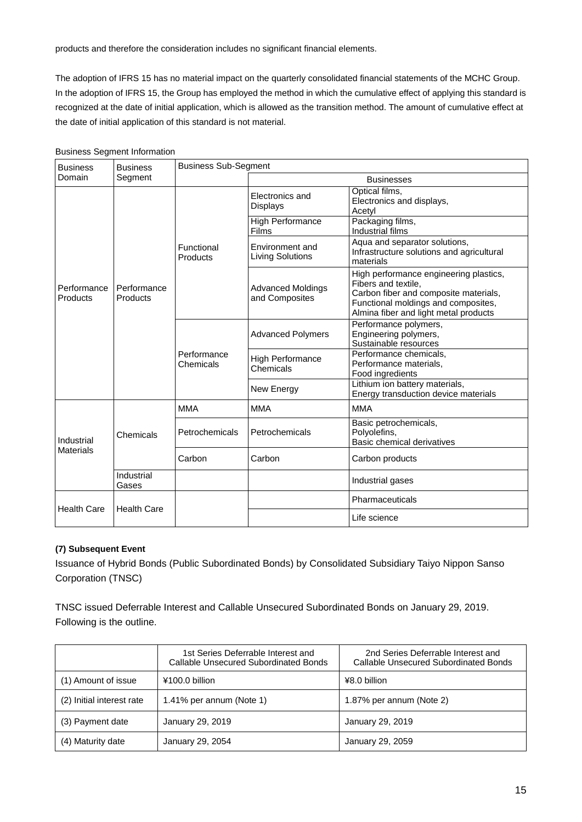products and therefore the consideration includes no significant financial elements.

The adoption of IFRS 15 has no material impact on the quarterly consolidated financial statements of the MCHC Group. In the adoption of IFRS 15, the Group has employed the method in which the cumulative effect of applying this standard is recognized at the date of initial application, which is allowed as the transition method. The amount of cumulative effect at the date of initial application of this standard is not material.

| <b>Business</b>         | <b>Business</b>         | <b>Business Sub-Segment</b> |                                            |                                                                                                                                                                                        |  |  |
|-------------------------|-------------------------|-----------------------------|--------------------------------------------|----------------------------------------------------------------------------------------------------------------------------------------------------------------------------------------|--|--|
| Domain                  | Segment                 |                             | <b>Businesses</b>                          |                                                                                                                                                                                        |  |  |
|                         |                         |                             | Electronics and<br><b>Displays</b>         | Optical films,<br>Electronics and displays,<br>Acetyl                                                                                                                                  |  |  |
|                         |                         |                             | High Performance<br>Films                  | Packaging films,<br>Industrial films                                                                                                                                                   |  |  |
| Performance<br>Products |                         | Functional<br>Products      | Environment and<br><b>Living Solutions</b> | Aqua and separator solutions,<br>Infrastructure solutions and agricultural<br>materials                                                                                                |  |  |
|                         | Performance<br>Products |                             | <b>Advanced Moldings</b><br>and Composites | High performance engineering plastics,<br>Fibers and textile.<br>Carbon fiber and composite materials,<br>Functional moldings and composites,<br>Almina fiber and light metal products |  |  |
|                         |                         | Performance<br>Chemicals    | <b>Advanced Polymers</b>                   | Performance polymers,<br>Engineering polymers,<br>Sustainable resources                                                                                                                |  |  |
|                         |                         |                             | <b>High Performance</b><br>Chemicals       | Performance chemicals,<br>Performance materials.<br>Food ingredients                                                                                                                   |  |  |
|                         |                         |                             | New Energy                                 | Lithium ion battery materials,<br>Energy transduction device materials                                                                                                                 |  |  |
|                         |                         | <b>MMA</b>                  | <b>MMA</b>                                 | <b>MMA</b>                                                                                                                                                                             |  |  |
| Industrial<br>Materials | Chemicals               | Petrochemicals              | Petrochemicals                             | Basic petrochemicals,<br>Polyolefins,<br>Basic chemical derivatives                                                                                                                    |  |  |
|                         |                         | Carbon                      | Carbon                                     | Carbon products                                                                                                                                                                        |  |  |
|                         | Industrial<br>Gases     |                             |                                            | Industrial gases                                                                                                                                                                       |  |  |
| Health Care             | <b>Health Care</b>      |                             |                                            | Pharmaceuticals                                                                                                                                                                        |  |  |
|                         |                         |                             |                                            | Life science                                                                                                                                                                           |  |  |

#### Business Segment Information

#### **(7) Subsequent Event**

Issuance of Hybrid Bonds (Public Subordinated Bonds) by Consolidated Subsidiary Taiyo Nippon Sanso Corporation (TNSC)

TNSC issued Deferrable Interest and Callable Unsecured Subordinated Bonds on January 29, 2019. Following is the outline.

|                           | 1st Series Deferrable Interest and<br>Callable Unsecured Subordinated Bonds | 2nd Series Deferrable Interest and<br>Callable Unsecured Subordinated Bonds |
|---------------------------|-----------------------------------------------------------------------------|-----------------------------------------------------------------------------|
| (1) Amount of issue       | ¥100.0 billion                                                              | ¥8.0 billion                                                                |
| (2) Initial interest rate | 1.41% per annum (Note 1)                                                    | 1.87% per annum (Note 2)                                                    |
| (3) Payment date          | January 29, 2019                                                            | January 29, 2019                                                            |
| (4) Maturity date         | January 29, 2054                                                            | January 29, 2059                                                            |